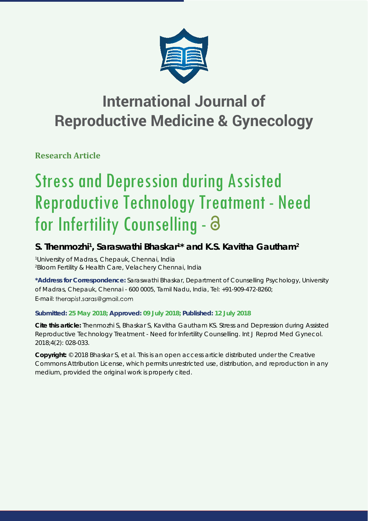

**Research Article**

# Stress and Depression during Assisted Reproductive Technology Treatment - Need for Infertility Counselling - a

### **S. Thenmozhi1 , Saraswathi Bhaskar1 \* and K.S. Kavitha Gautham2**

*1 University of Madras, Chepauk, Chennai, India 2 Bloom Fertility & Health Care, Velachery Chennai, India*

**\*Address for Correspondence:** Saraswathi Bhaskar, Department of Counselling Psychology, University of Madras, Chepauk, Chennai - 600 0005, Tamil Nadu, India, Tel: +91-909-472-8260; E-mail: therapist.saras@gmail.com

#### **Submitted: 25 May 2018; Approved: 09 July 2018; Published: 12 July 2018**

**Cite this article:** Thenmozhi S, Bhaskar S, Kavitha Gautham KS. Stress and Depression during Assisted Reproductive Technology Treatment - Need for Infertility Counselling. Int J Reprod Med Gynecol. 2018;4(2): 028-033.

**Copyright:** © 2018 Bhaskar S, et al. This is an open access article distributed under the Creative Commons Attribution License, which permits unrestricted use, distribution, and reproduction in any medium, provided the original work is properly cited.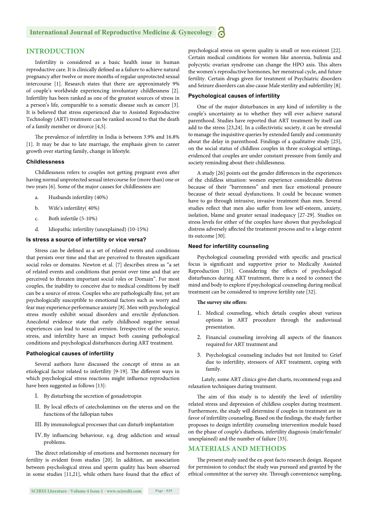#### **INTRODUCTION**

Infertility is considered as a basic health issue in human reproductive care. It is clinically defined as a failure to achieve natural pregnancy after twelve or more months of regular unprotected sexual intercourse [1]. Research states that there are approximately 9% of couple's worldwide experiencing involuntary childlessness [2]. Infertility has been ranked as one of the greatest sources of stress in a person's life, comparable to a somatic disease such as cancer [3]. It is believed that stress experienced due to Assisted Reproductive Technology (ART) treatment can be ranked second to that the death of a family member or divorce [4,5].

The prevalence of infertility in India is between 3.9% and 16.8% [1]. It may be due to late marriage, the emphasis given to career growth over starting family, change in lifestyle.

#### **Childlessness**

Childlessness refers to couples not getting pregnant even after having normal unprotected sexual intercourse for (more than) one or two years [6]. Some of the major causes for childlessness are:

- a. Husbands infertility (40%)
- b. Wife's infertility( 40%)
- c. Both infertile (5-10%)
- d. Idiopathic infertility (unexplained) (10-15%)

#### **Is stress a source of infertility or vice versa?**

Stress can be defined as a set of related events and conditions that persists over time and that are perceived to threaten significant social roles or domains. Newton et al. [7] describes stress as "a set of related events and conditions that persist over time and that are perceived to threaten important social roles or Domain". For most couples, the inability to conceive due to medical conditions by itself can be a source of stress. Couples who are pathologically fine, yet are psychologically susceptible to emotional factors such as worry and fear may experience performance anxiety [8]. Men with psychological stress mostly exhibit sexual disorders and erectile dysfunction. Anecdotal evidence state that early childhood negative sexual experiences can lead to sexual aversion. Irrespective of the source, stress, and infertility have an impact both causing pathological conditions and psychological disturbances during ART treatment.

#### **Pathological causes of infertility**

Several authors have discussed the concept of stress as an etiological factor related to infertility [9-19]. The different ways in which psychological stress reactions might influence reproduction have been suggested as follows [13]:

- I. By disturbing the secretion of gonadotropin
- II. By local effects of catecholamines on the uterus and on the functions of the fallopian tubes
- III. By immunological processes that can disturb implantation
- IV. By influencing behaviour, e.g. drug addiction and sexual problems.

The direct relationship of emotions and hormones necessary for fertility is evident from studies [20]. In addition, an association between psychological stress and sperm quality has been observed in some studies [11,21], while others have found that the effect of psychological stress on sperm quality is small or non-existent [22]. Certain medical conditions for women like anorexia, bulimia and polycystic ovarian syndrome can change the HPO axis. This alters the women's reproductive hormones, her menstrual cycle, and future fertility. Certain drugs given for treatment of Psychiatric disorders and Seizure disorders can also cause Male sterility and subfertility [8].

#### **Psychological causes of infertility**

One of the major disturbances in any kind of infertility is the couple's uncertainty as to whether they will ever achieve natural parenthood. Studies have reported that ART treatment by itself can add to the stress [23,24]. In a collectivistic society, it can be stressful to manage the inquisitive queries by extended family and community about the delay in parenthood. Findings of a qualitative study [25], on the social status of childless couples in three ecological settings, evidenced that couples are under constant pressure from family and society reminding about their childlessness.

A study [26] points out the gender differences in the experiences of the childless situation: women experience considerable distress because of their "barrenness" and men face emotional pressure because of their sexual dysfunctions. It could be because women have to go through intrusive, invasive treatment than men. Several studies reflect that men also suffer from low self-esteem, anxiety, isolation, blame and greater sexual inadequacy [27-29]. Studies on stress levels for either of the couples have shown that psychological distress adversely affected the treatment process and to a large extent its outcome [30].

#### **Need for infertility counseling**

Psychological counseling provided with specific and practical focus is significant and supportive prior to Medically Assisted Reproduction [31]. Considering the effects of psychological disturbances during ART treatment, there is a need to connect the mind and body to explore if psychological counseling during medical treatment can be considered to improve fertility rate [32].

#### **The survey site offers:**

- 1. Medical counseling, which details couples about various options in ART procedure through the audiovisual presentation.
- 2. Financial counseling involving all aspects of the finances required for ART treatment and
- 3. Psychological counseling includes but not limited to: Grief due to infertility, stressors of ART treatment, coping with family.

 Lately, some ART clinics give diet charts, recommend yoga and relaxation techniques during treatment.

The aim of this study is to identify the level of infertility related stress and depression of childless couples during treatment. Furthermore, the study will determine if couples in treatment are in favor of infertility counseling. Based on the findings, the study further proposes to design infertility counseling intervention module based on the phase of couple's diathesis, infertility diagnosis (male/female/ unexplained) and the number of failure [33].

#### **MATERIALS AND METHODS**

The present study used the ex-post facto research design. Request for permission to conduct the study was pursued and granted by the ethical committee at the survey site. Through convenience sampling,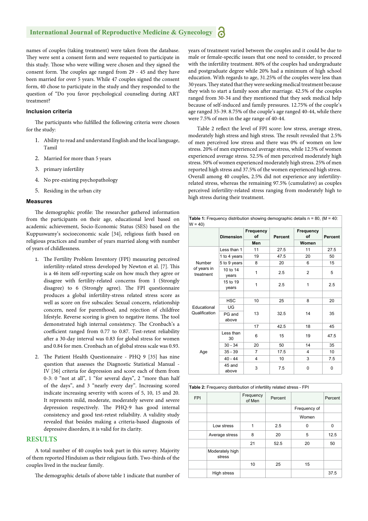names of couples (taking treatment) were taken from the database. They were sent a consent form and were requested to participate in this study. Those who were willing were chosen and they signed the consent form. The couples age ranged from 29 - 45 and they have been married for over 5 years. While 47 couples signed the consent form, 40 chose to participate in the study and they responded to the question of "Do you favor psychological counseling during ART treatment?

#### **Inclusion criteria**

The participants who fulfilled the following criteria were chosen for the study:

- 1. Ability to read and understand English and the local language, Tamil
- 2. Married for more than 5 years
- 3. primary infertility
- 4. No pre-existing psychopathology
- 5. Residing in the urban city

#### **Measures**

The demographic profile: The researcher gathered information from the participants on their age, educational level based on academic achievement, Socio-Economic Status (SES) based on the Kuppuswamy's socioeconomic scale [34], religious faith based on religious practices and number of years married along with number of years of childlessness.

- 1. The Fertility Problem Inventory (FPI) measuring perceived infertility-related stress developed by Newton et al. [7]. This is a 46 item self-reporting scale on how much they agree or disagree with fertility-related concerns from 1 (Strongly disagree) to 6 (Strongly agree). The FPI questionnaire produces a global infertility-stress related stress score as well as score on five subscales: Sexual concern, relationship concern, need for parenthood, and rejection of childfree lifestyle. Reverse scoring is given to negative items. The tool demonstrated high internal consistency. The Cronbach's a coefficient ranged from 0.77 to 0.87. Test-retest reliability after a 30-day interval was 0.83 for global stress for women and 0.84 for men. Cronbach an of global stress scale was 0.93.
- 2. The Patient Health Questionnaire PHQ 9 [35] has nine question that assesses the Diagnostic Statistical Manual - IV [36] criteria for depression and score each of them from 0-3: 0 "not at all", 1 "for several days", 2 "more than half of the days", and 3 "nearly every day". Increasing scored indicate increasing severity with scores of 5, 10, 15 and 20. It represents mild, moderate, moderately severe and severe depression respectively. The PHQ-9 has good internal consistency and good test-retest reliability. A validity study revealed that besides making a criteria-based diagnosis of depressive disorders, it is valid for its clarity.

#### **RESULTS**

A total number of 40 couples took part in this survey. Majority of them reported Hinduism as their religious faith. Two-thirds of the couples lived in the nuclear family.

The demographic details of above table 1 indicate that number of

years of treatment varied between the couples and it could be due to male or female-specific issues that one need to consider, to proceed with the infertility treatment. 80% of the couples had undergraduate and postgraduate degree while 20% had a minimum of high school education. With regards to age, 31.25% of the couples were less than 30 years. They stated that they were seeking medical treatment because they wish to start a family soon after marriage. 42.5% of the couples ranged from 30-34 and they mentioned that they seek medical help because of self-induced and family pressures. 12.75% of the couple's age ranged 35-39. 8.75% of the couple's age ranged 40-44, while there were 7.5% of men in the age range of 40-44.

Table 2 reflect the level of FPI score: low stress, average stress, moderately high stress and high stress. The result revealed that 2.5% of men perceived low stress and there was 0% of women on low stress. 20% of men experienced average stress, while 12.5% of women experienced average stress. 52.5% of men perceived moderately high stress. 50% of women experienced moderately high stress. 25% of men reported high stress and 37.5% of the women experienced high stress. Overall among 40 couples, 2.5% did not experience any infertilityrelated stress, whereas the remaining 97.5% (cumulative) as couples perceived infertility-related stress ranging from moderately high to high stress during their treatment.

| <b>Table 1:</b> Frequency distribution showing demographic details $n = 80$ , (M = 40:<br>$W = 40$ |                   |                        |         |                 |         |
|----------------------------------------------------------------------------------------------------|-------------------|------------------------|---------|-----------------|---------|
|                                                                                                    | <b>Dimension</b>  | Frequency<br>of<br>Men | Percent | Frequency<br>of | Percent |
|                                                                                                    |                   |                        |         | Women           |         |
|                                                                                                    | Less than 1       | 11                     | 27.5    | 11              | 27.5    |
|                                                                                                    | 1 to 4 years      | 19                     | 47.5    | 20              | 50      |
| Number<br>of years in<br>treatment                                                                 | 5 to 9 years      | 8                      | 20      | 6               | 15      |
|                                                                                                    | 10 to 14<br>years | 1                      | 2.5     | $\overline{2}$  | 5       |
|                                                                                                    | 15 to 19<br>years | 1                      | 2.5     | 1               | 2.5     |
|                                                                                                    |                   |                        |         |                 |         |
|                                                                                                    | <b>HSC</b>        | 10                     | 25      | 8               | 20      |
| Educational                                                                                        | UG                | 13                     | 32.5    | 14              |         |
| Qualification                                                                                      | PG and<br>above   |                        |         |                 | 35      |
|                                                                                                    |                   | 17                     | 42.5    | 18              | 45      |
| Age                                                                                                | Less than<br>30   | 6                      | 15      | 19              | 47.5    |
|                                                                                                    | $30 - 34$         | 20                     | 50      | 14              | 35      |
|                                                                                                    | $35 - 39$         | 7                      | 17.5    | 4               | 10      |
|                                                                                                    | $40 - 44$         | 4                      | 10      | 3               | 7.5     |
|                                                                                                    | 45 and<br>above   | 3                      | 7.5     | 0               | 0       |

|            | Table 2: Frequency distribution of infertility related stress - FPI |                     |         |              |         |  |
|------------|---------------------------------------------------------------------|---------------------|---------|--------------|---------|--|
| <b>FPI</b> |                                                                     | Frequency<br>of Men | Percent |              | Percent |  |
|            |                                                                     |                     |         | Frequency of |         |  |
|            |                                                                     |                     |         | Women        |         |  |
|            | Low stress                                                          |                     | 2.5     | <sup>0</sup> | 0       |  |
|            | Average stress                                                      | 8                   | 20      | 5            | 12.5    |  |
|            |                                                                     | 21                  | 52.5    | 20           | 50      |  |
|            | Moderately high<br>stress                                           |                     |         |              |         |  |
|            |                                                                     | 10                  | 25      | 15           |         |  |
|            | High stress                                                         |                     |         |              | 37.5    |  |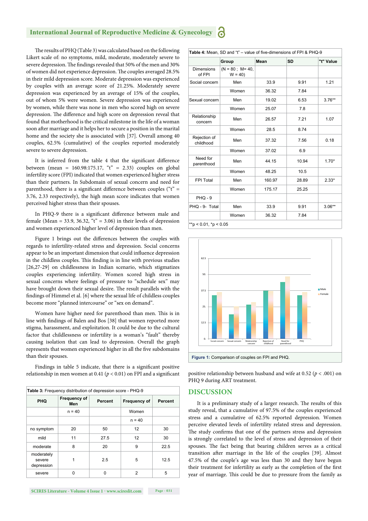The results of PHQ (Table 3) was calculated based on the following Likert scale of: no symptoms, mild, moderate, moderately severe to severe depression. The findings revealed that 50% of the men and 30% of women did not experience depression. The couples averaged 28.5% in their mild depression score. Moderate depression was experienced by couples with an average score of 21.25%. Moderately severe depression was experienced by an average of 15% of the couples, out of whom 5% were women. Severe depression was experienced by women, while there was none in men who scored high on severe depression. The difference and high score on depression reveal that found that motherhood is the critical milestone in the life of a woman soon after marriage and it helps her to secure a position in the marital home and the society she is associated with [37]. Overall among 40 couples, 62.5% (cumulative) of the couples reported moderately severe to severe depression.

It is inferred from the table 4 that the significant difference between (mean =  $160.98:175.17$ , "t" = 2.33) couples on global infertility score (FPI) indicated that women experienced higher stress than their partners. In Subdomain of sexual concern and need for parenthood, there is a significant difference between couples (" $t$ " = 3.76, 2.33 respectively), the high mean score indicates that women perceived higher stress than their spouses.

In PHQ-9 there is a significant difference between male and female (Mean = 33.9, 36.32, " $t$ " = 3.06) in their levels of depression and women experienced higher level of depression than men.

Figure 1 brings out the differences between the couples with regards to infertility-related stress and depression. Social concerns appear to be an important dimension that could influence depression in the childless couples. This finding is in line with previous studies [26,27-29] on childlessness in Indian scenario, which stigmatizes couples experiencing infertility. Women scored high stress in sexual concerns where feelings of pressure to "schedule sex" may have brought down their sexual desire. The result parallels with the findings of Himmel et al. [6] where the sexual life of childless couples become more "planned intercourse" or "sex on demand".

Women have higher need for parenthood than men. This is in line with findings of Balen and Bos [38] that women reported more stigma, harassment, and exploitation. It could be due to the cultural factor that childlessness or infertility is a woman's "fault" thereby causing isolation that can lead to depression. Overall the graph represents that women experienced higher in all the five subdomains than their spouses.

Findings in table 5 indicate, that there is a significant positive relationship in men women at 0.41 ( $p < 0.01$ ) on FPI and a significant positive relationship between husband and wife at 0.52 ( $p < .001$ ) on

| Table 3: Frequency distribution of depression score - PHQ-9 |                     |         |              |                |
|-------------------------------------------------------------|---------------------|---------|--------------|----------------|
| <b>PHQ</b>                                                  | Frequency of<br>Men | Percent | Frequency of | <b>Percent</b> |
|                                                             | $n = 40$            |         | Women        |                |
|                                                             |                     |         | $n = 40$     |                |
| no symptom                                                  | 20                  | 50      | 12           | 30             |
| mild                                                        | 11                  | 27.5    | 12           | 30             |
| moderate                                                    | 8                   | 20      | 9            | 22.5           |
| moderately<br>severe<br>depression                          |                     | 2.5     | 5            | 12.5           |
| severe                                                      | n                   | ŋ       | 2            | 5              |

|                             | Group                          | Mean   | <b>SD</b> | "t" Value |
|-----------------------------|--------------------------------|--------|-----------|-----------|
| <b>Dimensions</b><br>of FPI | $(N = 80$ ; M= 40,<br>$W = 40$ |        |           |           |
| Social concern              | Men                            | 33.9   | 9.91      | 1.21      |
|                             | Women                          | 36.32  | 7.84      |           |
| Sexual concern              | Men                            | 19.02  | 6.53      | $3.76***$ |
|                             | Women                          | 25.07  | 7.8       |           |
| Relationship<br>concern     | Men                            | 26.57  | 7.21      | 1.07      |
|                             | Women                          | 28.5   | 8.74      |           |
| Rejection of<br>childhood   | Men                            | 37.32  | 7.56      | 0.18      |
|                             | Women                          | 37.02  | 6.9       |           |
| Need for<br>parenthood      | Men                            | 44.15  | 10.94     | $1.70*$   |
|                             | Women                          | 48.25  | 10.5      |           |
| FPI Total                   | Men                            | 160.97 | 28.89     | $2.33*$   |
|                             | Women                          | 175.17 | 25.25     |           |
| $PHQ - 9$                   |                                |        |           |           |
| PHQ - 9- Total              | Men                            | 33.9   | 9.91      | $3.06**$  |
|                             | Women                          | 36.32  | 7.84      |           |



PHQ 9 during ART treatment.

#### **DISCUSSION**

It is a preliminary study of a larger research. The results of this study reveal, that a cumulative of 97.5% of the couples experienced stress and a cumulative of 62.5% reported depression. Women perceive elevated levels of infertility related stress and depression. The study confirms that one of the partners stress and depression is strongly correlated to the level of stress and depression of their spouses. The fact being that bearing children serves as a critical transition after marriage in the life of the couples [39]. Almost 47.5% of the couple's age was less than 30 and they have begun their treatment for infertility as early as the completion of the first year of marriage. This could be due to pressure from the family as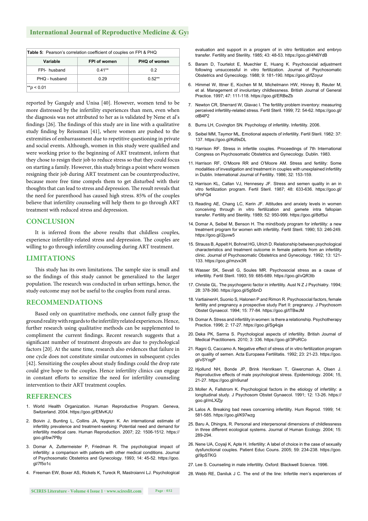| <b>Table 5:</b> Pearson's correlation coefficient of couples on FPI & PHQ |                     |                     |  |
|---------------------------------------------------------------------------|---------------------|---------------------|--|
| Variable                                                                  | <b>FPI of women</b> | <b>PHQ of women</b> |  |
| FPI- husband                                                              | $0.41**$            | 0.2                 |  |
| PHQ - husband                                                             | በ 29                | $0.52**$            |  |
| $*$ p < 0.01                                                              |                     |                     |  |

reported by Ganguly and Unisa [40]. However, women tend to be more distressed by the infertility experiences than men, even when the diagnosis was not attributed to her as is validated by Nene et al's findings [26]. The findings of this study are in line with a qualitative study finding by Reissman [41], where women are pushed to the extremities of embarrassment due to repetitive questioning in private and social events. Although, women in this study were qualified and were working prior to the beginning of ART treatment, inform that they chose to resign their job to reduce stress so that they could focus on starting a family. However, this study brings a point where women resigning their job during ART treatment can be counterproductive, because more free time compels them to get disturbed with their thoughts that can lead to stress and depression. The result reveals that the need for parenthood has caused high stress. 85% of the couples believe that infertility counseling will help them to go through ART treatment with reduced stress and depression.

#### **CONCLUSION**

It is inferred from the above results that childless couples, experience infertility-related stress and depression. The couples are willing to go through infertility counseling during ART treatment.

#### **LIMITATIONS**

This study has its own limitations. The sample size is small and so the findings of this study cannot be generalized to the larger population. The research was conducted in urban settings, hence, the study outcome may not be useful to the couples from rural areas.

#### **RECOMMENDATIONS**

Based only on quantitative methods, one cannot fully grasp the ground reality with regards to the infertility related experiences. Hence, further research using qualitative methods can be supplemented to compliment the current findings. Recent research suggests that a significant number of treatment dropouts are due to psychological factors [20]. At the same time, research also evidences that failure in one cycle does not constitute similar outcomes in subsequent cycles [42]. Sensitizing the couples about study findings could the drop rate could give hope to the couples. Hence infertility clinics can engage in constant efforts to sensitize the need for infertility counseling intervention to their ART treatment couples.

#### **REFERENCES**

- 1. World Health Organization. Human Reproductive Program. Geneva, Switzerland. 2004. https://goo.gl/EMvKJU
- 2. Boivin J, Bunting L, Collins JA, Nygren K. An international estimate of infertility prevalence and treatment-seeking: Potential need and demand for infertility medical care. Human Reproduction. 2007; 22: 1506-1512. https:// goo.gl/bw7PBy
- 3. Domar A, Zuttermeister P, Friedman R. The psychological impact of infertility: a comparison with patients with other medical conditions. Journal of Psychosomatic Obstetrics and Gynecology. 1993; 14: 45-52. https://goo. gl/7f5o1c
- 4. Freeman EW, Boxer AS, Rickels K, Tureck R, Mastroianni LJ. Psychological

evaluation and support in a program of in vitro fertilization and embryo transfer. Fertility and Sterility. 1985; 43: 48-53. https://goo.gl/4N6YdB

- 5. Baram D, Tourtelot E, Muechler E, Huang K. Psychosocial adjustment following unsuccessful in vitro fertilization. Journal of Psychosomatic Obstetrics and Gynecology. 1988; 9: 181-190. https://goo.gl/fZoyur
- 6. Himmel W, Ittner E, Kochen M M, Michelmann HW, Hinney B, Reuter M, et al. Management of involuntary childlessness. British Journal of General Practice. 1997; 47: 111-118. https://goo.gl/ERBeZb
- 7. Newton CR, Sherrard W, Glavac I. The fertility problem inventory: measuring perceived infertility-related stress. Fertil Steril. 1999; 72: 54-62. https://goo.gl/ otB4P2
- 8. Burns LH, Covington SN. Psychology of infertility. Infertility. 2006.
- 9. Seibel MM, Taymor ML. Emotional aspects of infertility. Fertil Steril. 1982: 37: 137. https://goo.gl/Kd9sDL
- 10. Harrison RF. Stress in infertile couples. Proceedings of 7th International Congress on Psychosomatic Obstetrics and Gynecology. Dublin. 1983.
- 11. Harrison RF, O'Moore RR and O'Moore AM. Stress and fertility: Some modalities of investigation and treatment in couples with unexplained infertility in Dublin. International Journal of Fertility. 1986; 32: 153-159.
- 12. Harrison KL, Callan VJ, Hennesey JF. Stress and semen quality in an in vitro fertilization program. Fertil Steril. 1987; 48: 633-636. https://goo.gl/  $hFhFO4$
- 13. Reading AE, Chang LC, Kerin JF. Attitudes and anxiety levels in women conceiving through in vitro fertilization and gamete intra fallopian transfer. Fertility and Sterility. 1989; 52: 950-999. https://goo.gl/8df5ui
- 14. Domar A, Seibel M, Benson H. The mind/body program for infertility: a new treatment program for women with infertility. Fertil Steril. 1990; 53: 246-249. https://goo.gl/2juvw5
- 15. Strauss B, Appelt H, Bohnet HG, Ulrich D. Relationship between psychological characteristics and treatment outcome in female patients from an infertility clinic. Journal of Psychosomatic Obstetrics and Gynecology. 1992; 13: 121- 133. https://goo.gl/mzvx3R
- 16. Wasser SK, Sevall G, Soules MR. Psychosocial stress as a cause of infertility. Fertil Steril. 1993; 59: 685-689. https://goo.gl/vQR3tb
- 17. Christie GL. The psychogenic factor in infertility. Aust N Z J Psychiatry. 1994; 28: 378-390. https://goo.gl/5g5bnD
- 18. VartiainenH, Suonio S, Halonen P and Rimon R. Psychosocial factors, female fertility and pregnancy a prospective study Part II: pregnancy. J Psychosom Obstet Gynaecol. 1994; 15: 77-84. https://goo.gl/tTBwJM
- 19. Domar A. Stress and infertility in women: is there a relationship. Psychotherapy Practice. 1996; 2: 17-27. https://goo.gl/Sg4qja
- 20. Deka PK, Sarma S. Psychological aspects of infertility. British Journal of Medical Practitioners. 2010; 3: 336. https://goo.gl/3PoRCo
- 21. Ragni G, Caccamo A. Negative effect of stress of in vitro fertilization program on quality of semen. Acta Europaea Fertilitatis. 1992; 23: 21-23. https://goo. gl/vSYogP
- 22. Hjollund NH, Bonde JP, Brink Henriksen T, Giwercman A, Olsen J. Reproductive effects of male psychological stress. Epidemiology. 2004; 15, 21-27. https://goo.gl/n9unaf
- 23. Moller A, Fallstrom K. Psychological factors in the etiology of infertility: a longitudinal study. J Psychosom Obstet Gynaecol. 1991; 12: 13-26. https:// goo.gl/mLXZjy
- 24. Lalos A. Breaking bad news concerning infertility. Hum Reprod. 1999; 14: 581-585. https://goo.gl/K97wzg
- 25. Baru A, Dhingra, R. Personal and interpersonal dimensions of childlessness in three different ecological systems. Journal of Human Ecology. 2004; 15: 289-294.
- 26. Nene UA, Coyaji K, Apte H. Infertility: A label of choice in the case of sexually dysfunctional couples. Patient Educ Couns. 2005; 59: 234-238. https://goo. gl/9pSTKG
- 27. Lee S. Counseling in male infertility. Oxford: Blackwell Science. 1996.
- 28. Webb RE, Daniluk J C. The end of the line: Infertile men's experiences of